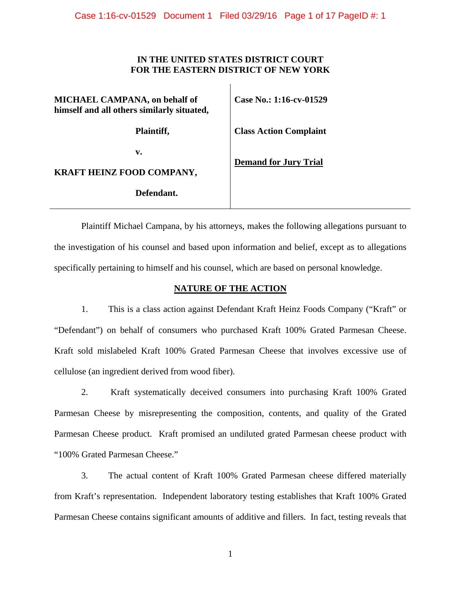# **IN THE UNITED STATES DISTRICT COURT FOR THE EASTERN DISTRICT OF NEW YORK**

 $\mathbf{L}$ 

| <b>MICHAEL CAMPANA</b> , on behalf of<br>himself and all others similarly situated, | Case No.: 1:16-cv-01529       |  |
|-------------------------------------------------------------------------------------|-------------------------------|--|
| Plaintiff,                                                                          | <b>Class Action Complaint</b> |  |
| v.                                                                                  | <b>Demand for Jury Trial</b>  |  |
| <b>KRAFT HEINZ FOOD COMPANY,</b>                                                    |                               |  |
| Defendant.                                                                          |                               |  |

Plaintiff Michael Campana, by his attorneys, makes the following allegations pursuant to the investigation of his counsel and based upon information and belief, except as to allegations specifically pertaining to himself and his counsel, which are based on personal knowledge.

# **NATURE OF THE ACTION**

1. This is a class action against Defendant Kraft Heinz Foods Company ("Kraft" or "Defendant") on behalf of consumers who purchased Kraft 100% Grated Parmesan Cheese. Kraft sold mislabeled Kraft 100% Grated Parmesan Cheese that involves excessive use of cellulose (an ingredient derived from wood fiber).

2. Kraft systematically deceived consumers into purchasing Kraft 100% Grated Parmesan Cheese by misrepresenting the composition, contents, and quality of the Grated Parmesan Cheese product. Kraft promised an undiluted grated Parmesan cheese product with "100% Grated Parmesan Cheese."

3. The actual content of Kraft 100% Grated Parmesan cheese differed materially from Kraft's representation. Independent laboratory testing establishes that Kraft 100% Grated Parmesan Cheese contains significant amounts of additive and fillers. In fact, testing reveals that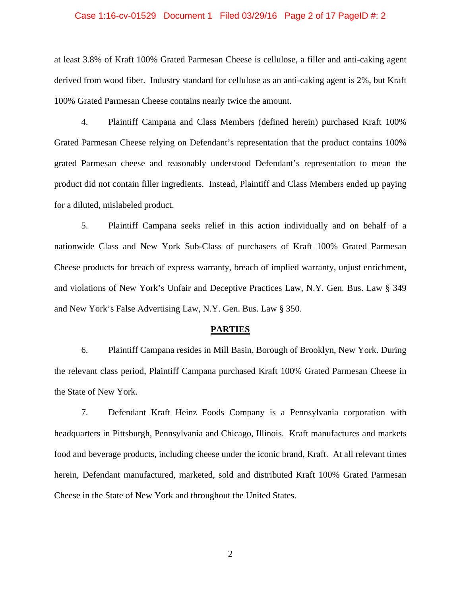### Case 1:16-cv-01529 Document 1 Filed 03/29/16 Page 2 of 17 PageID #: 2

at least 3.8% of Kraft 100% Grated Parmesan Cheese is cellulose, a filler and anti-caking agent derived from wood fiber. Industry standard for cellulose as an anti-caking agent is 2%, but Kraft 100% Grated Parmesan Cheese contains nearly twice the amount.

4. Plaintiff Campana and Class Members (defined herein) purchased Kraft 100% Grated Parmesan Cheese relying on Defendant's representation that the product contains 100% grated Parmesan cheese and reasonably understood Defendant's representation to mean the product did not contain filler ingredients. Instead, Plaintiff and Class Members ended up paying for a diluted, mislabeled product.

5. Plaintiff Campana seeks relief in this action individually and on behalf of a nationwide Class and New York Sub-Class of purchasers of Kraft 100% Grated Parmesan Cheese products for breach of express warranty, breach of implied warranty, unjust enrichment, and violations of New York's Unfair and Deceptive Practices Law, N.Y. Gen. Bus. Law § 349 and New York's False Advertising Law, N.Y. Gen. Bus. Law § 350.

#### **PARTIES**

6. Plaintiff Campana resides in Mill Basin, Borough of Brooklyn, New York. During the relevant class period, Plaintiff Campana purchased Kraft 100% Grated Parmesan Cheese in the State of New York.

7. Defendant Kraft Heinz Foods Company is a Pennsylvania corporation with headquarters in Pittsburgh, Pennsylvania and Chicago, Illinois. Kraft manufactures and markets food and beverage products, including cheese under the iconic brand, Kraft. At all relevant times herein, Defendant manufactured, marketed, sold and distributed Kraft 100% Grated Parmesan Cheese in the State of New York and throughout the United States.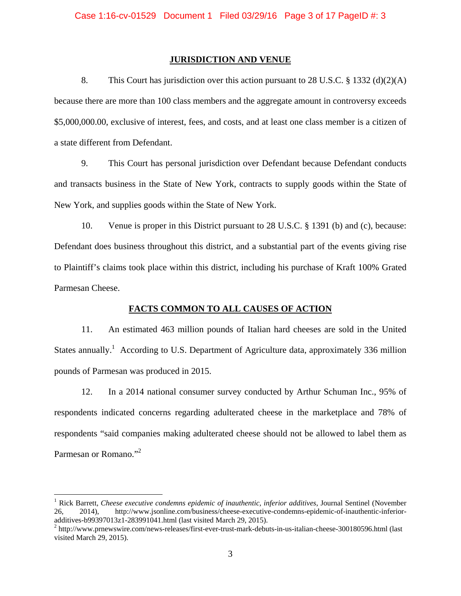### **JURISDICTION AND VENUE**

8. This Court has jurisdiction over this action pursuant to 28 U.S.C. § 1332 (d)(2)(A) because there are more than 100 class members and the aggregate amount in controversy exceeds \$5,000,000.00, exclusive of interest, fees, and costs, and at least one class member is a citizen of a state different from Defendant.

9. This Court has personal jurisdiction over Defendant because Defendant conducts and transacts business in the State of New York, contracts to supply goods within the State of New York, and supplies goods within the State of New York.

10. Venue is proper in this District pursuant to 28 U.S.C. § 1391 (b) and (c), because: Defendant does business throughout this district, and a substantial part of the events giving rise to Plaintiff's claims took place within this district, including his purchase of Kraft 100% Grated Parmesan Cheese.

### **FACTS COMMON TO ALL CAUSES OF ACTION**

11. An estimated 463 million pounds of Italian hard cheeses are sold in the United States annually.<sup>1</sup> According to U.S. Department of Agriculture data, approximately 336 million pounds of Parmesan was produced in 2015.

12. In a 2014 national consumer survey conducted by Arthur Schuman Inc., 95% of respondents indicated concerns regarding adulterated cheese in the marketplace and 78% of respondents "said companies making adulterated cheese should not be allowed to label them as Parmesan or Romano."<sup>2</sup>

<sup>&</sup>lt;sup>1</sup> Rick Barrett, *Cheese executive condemns epidemic of inauthentic, inferior additives*, Journal Sentinel (November 26, 2014), http://www.jsonline.com/business/cheese-executive-condemns-epidemic-of-inauthentic-inferioradditives-b99397013z1-283991041.html (last visited March 29, 2015). 2

<sup>&</sup>lt;sup>2</sup> http://www.prnewswire.com/news-releases/first-ever-trust-mark-debuts-in-us-italian-cheese-300180596.html (last visited March 29, 2015).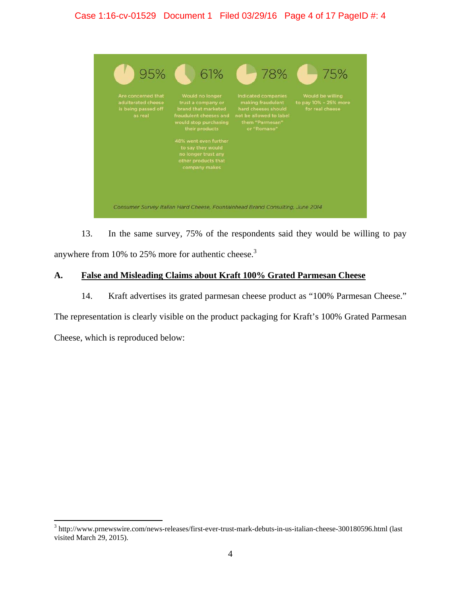# Case 1:16-cv-01529 Document 1 Filed 03/29/16 Page 4 of 17 PageID #: 4

| 95%                                                                           | 61%                                                                                                                                                                                                                                            | 78%                                                                                                                          | 75%                                                          |
|-------------------------------------------------------------------------------|------------------------------------------------------------------------------------------------------------------------------------------------------------------------------------------------------------------------------------------------|------------------------------------------------------------------------------------------------------------------------------|--------------------------------------------------------------|
| Are concerned that<br>adulterated cheese<br>is being passed off<br>as real    | Would no longer<br>trust a company or<br>brand that marketed<br>fraudulent cheeses and<br>would stop purchasing<br>their products<br>48% went even further<br>to say they would<br>no longer trust any<br>other products that<br>company makes | Indicated companies<br>making fraudulent<br>hard cheeses should<br>not be allowed to label<br>them "Parmesan"<br>or "Romano" | Would be willing<br>to pay 10% - 25% more<br>for real cheese |
|                                                                               |                                                                                                                                                                                                                                                |                                                                                                                              |                                                              |
| Consumer Survey Italian Hard Cheese, Fountainhead Brand Consulting, June 2014 |                                                                                                                                                                                                                                                |                                                                                                                              |                                                              |

13. In the same survey, 75% of the respondents said they would be willing to pay anywhere from 10% to 25% more for authentic cheese. $3$ 

# **A. False and Misleading Claims about Kraft 100% Grated Parmesan Cheese**

14. Kraft advertises its grated parmesan cheese product as "100% Parmesan Cheese."

The representation is clearly visible on the product packaging for Kraft's 100% Grated Parmesan Cheese, which is reproduced below:

 3 http://www.prnewswire.com/news-releases/first-ever-trust-mark-debuts-in-us-italian-cheese-300180596.html (last visited March 29, 2015).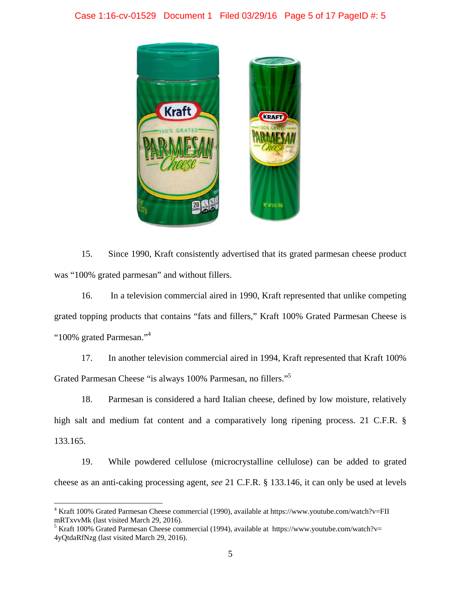# Case 1:16-cv-01529 Document 1 Filed 03/29/16 Page 5 of 17 PageID #: 5



15. Since 1990, Kraft consistently advertised that its grated parmesan cheese product was "100% grated parmesan" and without fillers.

16. In a television commercial aired in 1990, Kraft represented that unlike competing grated topping products that contains "fats and fillers," Kraft 100% Grated Parmesan Cheese is "100% grated Parmesan."<sup>4</sup>

17. In another television commercial aired in 1994, Kraft represented that Kraft 100% Grated Parmesan Cheese "is always 100% Parmesan, no fillers."5

18. Parmesan is considered a hard Italian cheese, defined by low moisture, relatively high salt and medium fat content and a comparatively long ripening process. 21 C.F.R. § 133.165.

19. While powdered cellulose (microcrystalline cellulose) can be added to grated cheese as an anti-caking processing agent, *see* 21 C.F.R. § 133.146, it can only be used at levels

<sup>&</sup>lt;sup>4</sup> Kraft 100% Grated Parmesan Cheese commercial (1990), available at https://www.youtube.com/watch?v=FII mRTxvvMk (last visited March 29, 2016).

<sup>&</sup>lt;sup>5</sup> Kraft 100% Grated Parmesan Cheese commercial (1994), available at https://www.youtube.com/watch?v= 4yQtdaRfNzg (last visited March 29, 2016).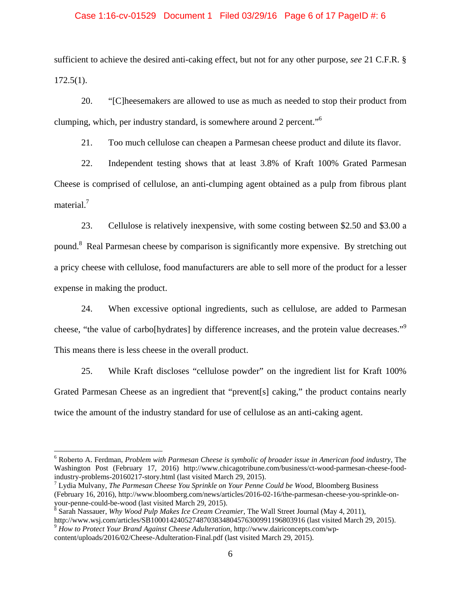#### Case 1:16-cv-01529 Document 1 Filed 03/29/16 Page 6 of 17 PageID #: 6

sufficient to achieve the desired anti-caking effect, but not for any other purpose, *see* 21 C.F.R. §  $172.5(1)$ .

20. "[C]heesemakers are allowed to use as much as needed to stop their product from clumping, which, per industry standard, is somewhere around 2 percent."6

21. Too much cellulose can cheapen a Parmesan cheese product and dilute its flavor.

22. Independent testing shows that at least 3.8% of Kraft 100% Grated Parmesan Cheese is comprised of cellulose, an anti-clumping agent obtained as a pulp from fibrous plant material.<sup>7</sup>

23. Cellulose is relatively inexpensive, with some costing between \$2.50 and \$3.00 a pound.<sup>8</sup> Real Parmesan cheese by comparison is significantly more expensive. By stretching out a pricy cheese with cellulose, food manufacturers are able to sell more of the product for a lesser expense in making the product.

24. When excessive optional ingredients, such as cellulose, are added to Parmesan cheese, "the value of carbo[hydrates] by difference increases, and the protein value decreases."<sup>9</sup> This means there is less cheese in the overall product.

25. While Kraft discloses "cellulose powder" on the ingredient list for Kraft 100% Grated Parmesan Cheese as an ingredient that "prevent[s] caking," the product contains nearly twice the amount of the industry standard for use of cellulose as an anti-caking agent.

<sup>6</sup> Roberto A. Ferdman, *Problem with Parmesan Cheese is symbolic of broader issue in American food industry*, The Washington Post (February 17, 2016) http://www.chicagotribune.com/business/ct-wood-parmesan-cheese-foodindustry-problems-20160217-story.html (last visited March 29, 2015).

<sup>7</sup> Lydia Mulvany, *The Parmesan Cheese You Sprinkle on Your Penne Could be Wood*, Bloomberg Business (February 16, 2016), http://www.bloomberg.com/news/articles/2016-02-16/the-parmesan-cheese-you-sprinkle-onyour-penne-could-be-wood (last visited March 29, 2015). 8 Sarah Nassauer, *Why Wood Pulp Makes Ice Cream Creamier*, The Wall Street Journal (May 4, 2011),

http://www.wsj.com/articles/SB10001424052748703834804576300991196803916 (last visited March 29, 2015).

<sup>9</sup> *How to Protect Your Brand Against Cheese Adulteration*, http://www.dairiconcepts.com/wpcontent/uploads/2016/02/Cheese-Adulteration-Final.pdf (last visited March 29, 2015).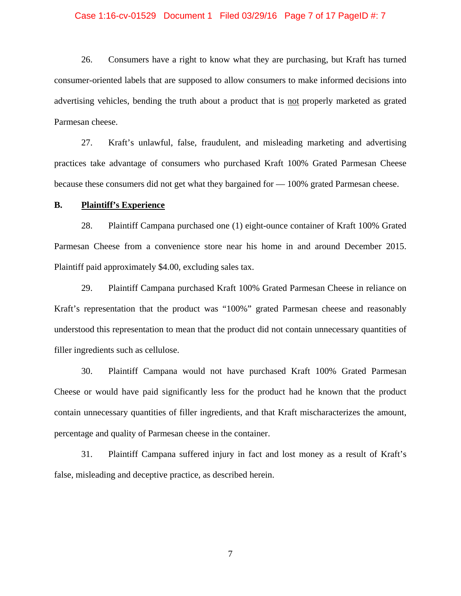### Case 1:16-cv-01529 Document 1 Filed 03/29/16 Page 7 of 17 PageID #: 7

26. Consumers have a right to know what they are purchasing, but Kraft has turned consumer-oriented labels that are supposed to allow consumers to make informed decisions into advertising vehicles, bending the truth about a product that is not properly marketed as grated Parmesan cheese.

27. Kraft's unlawful, false, fraudulent, and misleading marketing and advertising practices take advantage of consumers who purchased Kraft 100% Grated Parmesan Cheese because these consumers did not get what they bargained for — 100% grated Parmesan cheese.

### **B. Plaintiff's Experience**

28. Plaintiff Campana purchased one (1) eight-ounce container of Kraft 100% Grated Parmesan Cheese from a convenience store near his home in and around December 2015. Plaintiff paid approximately \$4.00, excluding sales tax.

29. Plaintiff Campana purchased Kraft 100% Grated Parmesan Cheese in reliance on Kraft's representation that the product was "100%" grated Parmesan cheese and reasonably understood this representation to mean that the product did not contain unnecessary quantities of filler ingredients such as cellulose.

30. Plaintiff Campana would not have purchased Kraft 100% Grated Parmesan Cheese or would have paid significantly less for the product had he known that the product contain unnecessary quantities of filler ingredients, and that Kraft mischaracterizes the amount, percentage and quality of Parmesan cheese in the container.

31. Plaintiff Campana suffered injury in fact and lost money as a result of Kraft's false, misleading and deceptive practice, as described herein.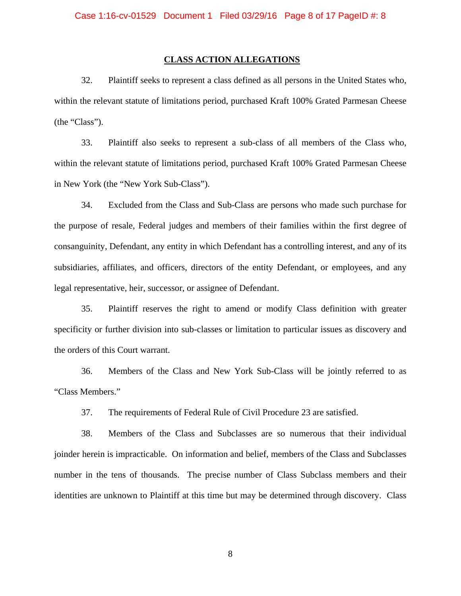#### **CLASS ACTION ALLEGATIONS**

32. Plaintiff seeks to represent a class defined as all persons in the United States who, within the relevant statute of limitations period, purchased Kraft 100% Grated Parmesan Cheese (the "Class").

33. Plaintiff also seeks to represent a sub-class of all members of the Class who, within the relevant statute of limitations period, purchased Kraft 100% Grated Parmesan Cheese in New York (the "New York Sub-Class").

34. Excluded from the Class and Sub-Class are persons who made such purchase for the purpose of resale, Federal judges and members of their families within the first degree of consanguinity, Defendant, any entity in which Defendant has a controlling interest, and any of its subsidiaries, affiliates, and officers, directors of the entity Defendant, or employees, and any legal representative, heir, successor, or assignee of Defendant.

35. Plaintiff reserves the right to amend or modify Class definition with greater specificity or further division into sub-classes or limitation to particular issues as discovery and the orders of this Court warrant.

36. Members of the Class and New York Sub-Class will be jointly referred to as "Class Members."

37. The requirements of Federal Rule of Civil Procedure 23 are satisfied.

38. Members of the Class and Subclasses are so numerous that their individual joinder herein is impracticable. On information and belief, members of the Class and Subclasses number in the tens of thousands. The precise number of Class Subclass members and their identities are unknown to Plaintiff at this time but may be determined through discovery. Class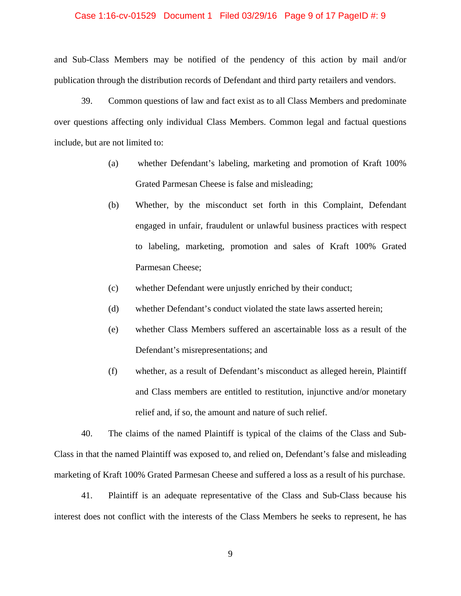### Case 1:16-cv-01529 Document 1 Filed 03/29/16 Page 9 of 17 PageID #: 9

and Sub-Class Members may be notified of the pendency of this action by mail and/or publication through the distribution records of Defendant and third party retailers and vendors.

39. Common questions of law and fact exist as to all Class Members and predominate over questions affecting only individual Class Members. Common legal and factual questions include, but are not limited to:

- (a) whether Defendant's labeling, marketing and promotion of Kraft 100% Grated Parmesan Cheese is false and misleading;
- (b) Whether, by the misconduct set forth in this Complaint, Defendant engaged in unfair, fraudulent or unlawful business practices with respect to labeling, marketing, promotion and sales of Kraft 100% Grated Parmesan Cheese;
- (c) whether Defendant were unjustly enriched by their conduct;
- (d) whether Defendant's conduct violated the state laws asserted herein;
- (e) whether Class Members suffered an ascertainable loss as a result of the Defendant's misrepresentations; and
- (f) whether, as a result of Defendant's misconduct as alleged herein, Plaintiff and Class members are entitled to restitution, injunctive and/or monetary relief and, if so, the amount and nature of such relief.

40. The claims of the named Plaintiff is typical of the claims of the Class and Sub-Class in that the named Plaintiff was exposed to, and relied on, Defendant's false and misleading marketing of Kraft 100% Grated Parmesan Cheese and suffered a loss as a result of his purchase.

41. Plaintiff is an adequate representative of the Class and Sub-Class because his interest does not conflict with the interests of the Class Members he seeks to represent, he has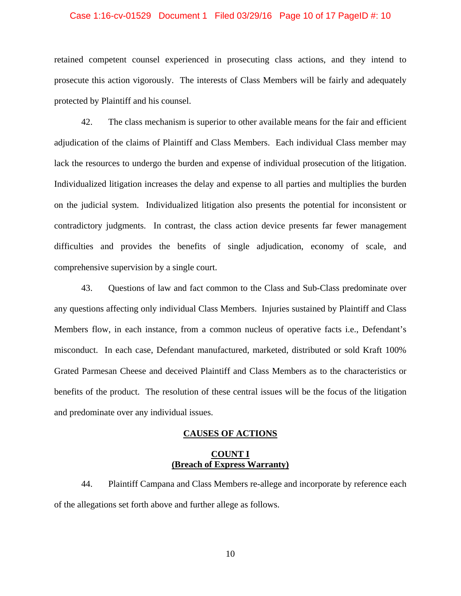#### Case 1:16-cv-01529 Document 1 Filed 03/29/16 Page 10 of 17 PageID #: 10

retained competent counsel experienced in prosecuting class actions, and they intend to prosecute this action vigorously. The interests of Class Members will be fairly and adequately protected by Plaintiff and his counsel.

42. The class mechanism is superior to other available means for the fair and efficient adjudication of the claims of Plaintiff and Class Members. Each individual Class member may lack the resources to undergo the burden and expense of individual prosecution of the litigation. Individualized litigation increases the delay and expense to all parties and multiplies the burden on the judicial system. Individualized litigation also presents the potential for inconsistent or contradictory judgments. In contrast, the class action device presents far fewer management difficulties and provides the benefits of single adjudication, economy of scale, and comprehensive supervision by a single court.

43. Questions of law and fact common to the Class and Sub-Class predominate over any questions affecting only individual Class Members. Injuries sustained by Plaintiff and Class Members flow, in each instance, from a common nucleus of operative facts i.e., Defendant's misconduct. In each case, Defendant manufactured, marketed, distributed or sold Kraft 100% Grated Parmesan Cheese and deceived Plaintiff and Class Members as to the characteristics or benefits of the product. The resolution of these central issues will be the focus of the litigation and predominate over any individual issues.

#### **CAUSES OF ACTIONS**

### **COUNT I (Breach of Express Warranty)**

44. Plaintiff Campana and Class Members re-allege and incorporate by reference each of the allegations set forth above and further allege as follows.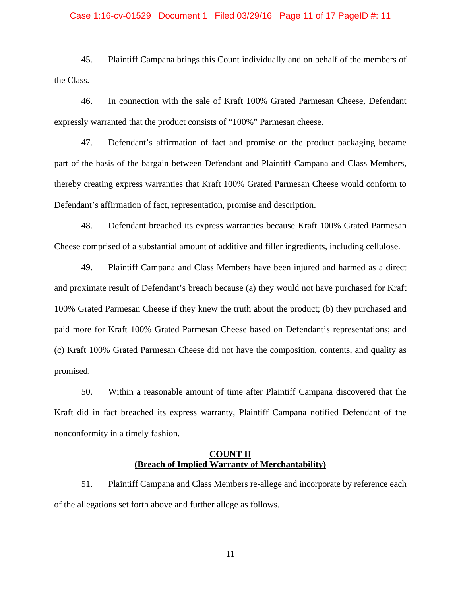## Case 1:16-cv-01529 Document 1 Filed 03/29/16 Page 11 of 17 PageID #: 11

45. Plaintiff Campana brings this Count individually and on behalf of the members of the Class.

46. In connection with the sale of Kraft 100% Grated Parmesan Cheese, Defendant expressly warranted that the product consists of "100%" Parmesan cheese.

47. Defendant's affirmation of fact and promise on the product packaging became part of the basis of the bargain between Defendant and Plaintiff Campana and Class Members, thereby creating express warranties that Kraft 100% Grated Parmesan Cheese would conform to Defendant's affirmation of fact, representation, promise and description.

48. Defendant breached its express warranties because Kraft 100% Grated Parmesan Cheese comprised of a substantial amount of additive and filler ingredients, including cellulose.

49. Plaintiff Campana and Class Members have been injured and harmed as a direct and proximate result of Defendant's breach because (a) they would not have purchased for Kraft 100% Grated Parmesan Cheese if they knew the truth about the product; (b) they purchased and paid more for Kraft 100% Grated Parmesan Cheese based on Defendant's representations; and (c) Kraft 100% Grated Parmesan Cheese did not have the composition, contents, and quality as promised.

50. Within a reasonable amount of time after Plaintiff Campana discovered that the Kraft did in fact breached its express warranty, Plaintiff Campana notified Defendant of the nonconformity in a timely fashion.

### **COUNT II (Breach of Implied Warranty of Merchantability)**

51. Plaintiff Campana and Class Members re-allege and incorporate by reference each of the allegations set forth above and further allege as follows.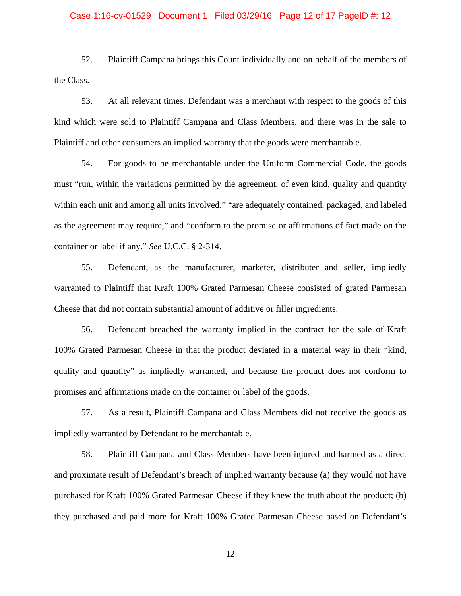#### Case 1:16-cv-01529 Document 1 Filed 03/29/16 Page 12 of 17 PageID #: 12

52. Plaintiff Campana brings this Count individually and on behalf of the members of the Class.

53. At all relevant times, Defendant was a merchant with respect to the goods of this kind which were sold to Plaintiff Campana and Class Members, and there was in the sale to Plaintiff and other consumers an implied warranty that the goods were merchantable.

54. For goods to be merchantable under the Uniform Commercial Code, the goods must "run, within the variations permitted by the agreement, of even kind, quality and quantity within each unit and among all units involved," "are adequately contained, packaged, and labeled as the agreement may require," and "conform to the promise or affirmations of fact made on the container or label if any." *See* U.C.C. § 2-314.

55. Defendant, as the manufacturer, marketer, distributer and seller, impliedly warranted to Plaintiff that Kraft 100% Grated Parmesan Cheese consisted of grated Parmesan Cheese that did not contain substantial amount of additive or filler ingredients.

56. Defendant breached the warranty implied in the contract for the sale of Kraft 100% Grated Parmesan Cheese in that the product deviated in a material way in their "kind, quality and quantity" as impliedly warranted, and because the product does not conform to promises and affirmations made on the container or label of the goods.

57. As a result, Plaintiff Campana and Class Members did not receive the goods as impliedly warranted by Defendant to be merchantable.

58. Plaintiff Campana and Class Members have been injured and harmed as a direct and proximate result of Defendant's breach of implied warranty because (a) they would not have purchased for Kraft 100% Grated Parmesan Cheese if they knew the truth about the product; (b) they purchased and paid more for Kraft 100% Grated Parmesan Cheese based on Defendant's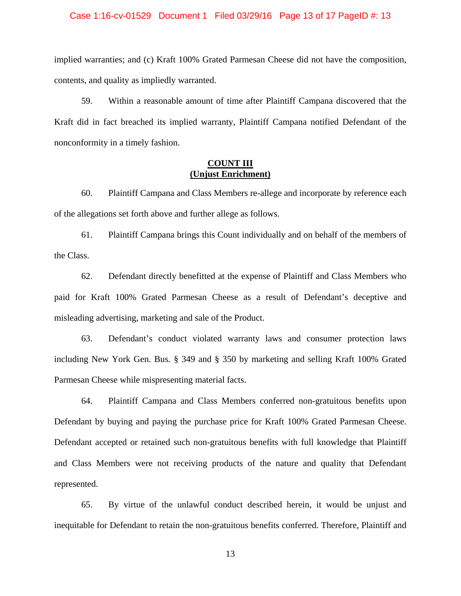### Case 1:16-cv-01529 Document 1 Filed 03/29/16 Page 13 of 17 PageID #: 13

implied warranties; and (c) Kraft 100% Grated Parmesan Cheese did not have the composition, contents, and quality as impliedly warranted.

59. Within a reasonable amount of time after Plaintiff Campana discovered that the Kraft did in fact breached its implied warranty, Plaintiff Campana notified Defendant of the nonconformity in a timely fashion.

## **COUNT III (Unjust Enrichment)**

60. Plaintiff Campana and Class Members re-allege and incorporate by reference each of the allegations set forth above and further allege as follows.

61. Plaintiff Campana brings this Count individually and on behalf of the members of the Class.

62. Defendant directly benefitted at the expense of Plaintiff and Class Members who paid for Kraft 100% Grated Parmesan Cheese as a result of Defendant's deceptive and misleading advertising, marketing and sale of the Product.

63. Defendant's conduct violated warranty laws and consumer protection laws including New York Gen. Bus. § 349 and § 350 by marketing and selling Kraft 100% Grated Parmesan Cheese while mispresenting material facts.

64. Plaintiff Campana and Class Members conferred non-gratuitous benefits upon Defendant by buying and paying the purchase price for Kraft 100% Grated Parmesan Cheese. Defendant accepted or retained such non-gratuitous benefits with full knowledge that Plaintiff and Class Members were not receiving products of the nature and quality that Defendant represented.

65. By virtue of the unlawful conduct described herein, it would be unjust and inequitable for Defendant to retain the non-gratuitous benefits conferred. Therefore, Plaintiff and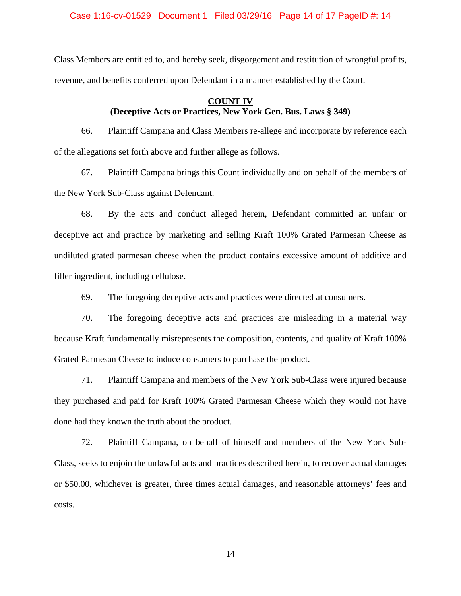Case 1:16-cv-01529 Document 1 Filed 03/29/16 Page 14 of 17 PageID #: 14

Class Members are entitled to, and hereby seek, disgorgement and restitution of wrongful profits, revenue, and benefits conferred upon Defendant in a manner established by the Court.

# **COUNT IV (Deceptive Acts or Practices, New York Gen. Bus. Laws § 349)**

66. Plaintiff Campana and Class Members re-allege and incorporate by reference each of the allegations set forth above and further allege as follows.

67. Plaintiff Campana brings this Count individually and on behalf of the members of the New York Sub-Class against Defendant.

68. By the acts and conduct alleged herein, Defendant committed an unfair or deceptive act and practice by marketing and selling Kraft 100% Grated Parmesan Cheese as undiluted grated parmesan cheese when the product contains excessive amount of additive and filler ingredient, including cellulose.

69. The foregoing deceptive acts and practices were directed at consumers.

70. The foregoing deceptive acts and practices are misleading in a material way because Kraft fundamentally misrepresents the composition, contents, and quality of Kraft 100% Grated Parmesan Cheese to induce consumers to purchase the product.

71. Plaintiff Campana and members of the New York Sub-Class were injured because they purchased and paid for Kraft 100% Grated Parmesan Cheese which they would not have done had they known the truth about the product.

72. Plaintiff Campana, on behalf of himself and members of the New York Sub-Class, seeks to enjoin the unlawful acts and practices described herein, to recover actual damages or \$50.00, whichever is greater, three times actual damages, and reasonable attorneys' fees and costs.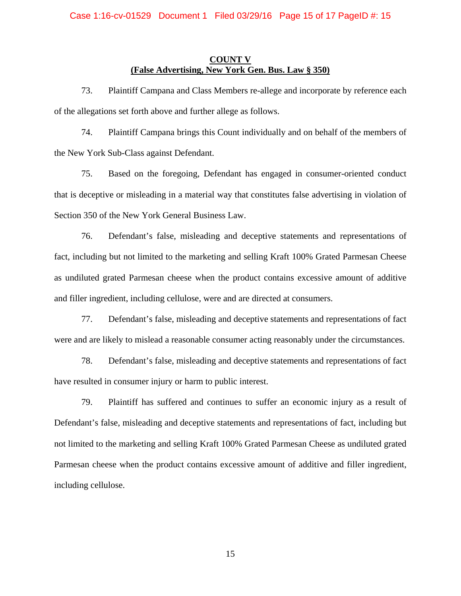### **COUNT V (False Advertising, New York Gen. Bus. Law § 350)**

73. Plaintiff Campana and Class Members re-allege and incorporate by reference each of the allegations set forth above and further allege as follows.

74. Plaintiff Campana brings this Count individually and on behalf of the members of the New York Sub-Class against Defendant.

75. Based on the foregoing, Defendant has engaged in consumer-oriented conduct that is deceptive or misleading in a material way that constitutes false advertising in violation of Section 350 of the New York General Business Law.

76. Defendant's false, misleading and deceptive statements and representations of fact, including but not limited to the marketing and selling Kraft 100% Grated Parmesan Cheese as undiluted grated Parmesan cheese when the product contains excessive amount of additive and filler ingredient, including cellulose, were and are directed at consumers.

77. Defendant's false, misleading and deceptive statements and representations of fact were and are likely to mislead a reasonable consumer acting reasonably under the circumstances.

78. Defendant's false, misleading and deceptive statements and representations of fact have resulted in consumer injury or harm to public interest.

79. Plaintiff has suffered and continues to suffer an economic injury as a result of Defendant's false, misleading and deceptive statements and representations of fact, including but not limited to the marketing and selling Kraft 100% Grated Parmesan Cheese as undiluted grated Parmesan cheese when the product contains excessive amount of additive and filler ingredient, including cellulose.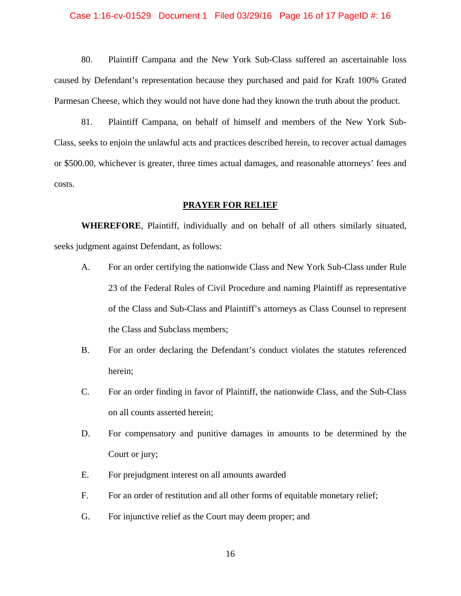#### Case 1:16-cv-01529 Document 1 Filed 03/29/16 Page 16 of 17 PageID #: 16

80. Plaintiff Campana and the New York Sub-Class suffered an ascertainable loss caused by Defendant's representation because they purchased and paid for Kraft 100% Grated Parmesan Cheese, which they would not have done had they known the truth about the product.

81. Plaintiff Campana, on behalf of himself and members of the New York Sub-Class, seeks to enjoin the unlawful acts and practices described herein, to recover actual damages or \$500.00, whichever is greater, three times actual damages, and reasonable attorneys' fees and costs.

### **PRAYER FOR RELIEF**

**WHEREFORE**, Plaintiff, individually and on behalf of all others similarly situated, seeks judgment against Defendant, as follows:

- A. For an order certifying the nationwide Class and New York Sub-Class under Rule 23 of the Federal Rules of Civil Procedure and naming Plaintiff as representative of the Class and Sub-Class and Plaintiff's attorneys as Class Counsel to represent the Class and Subclass members;
- B. For an order declaring the Defendant's conduct violates the statutes referenced herein;
- C. For an order finding in favor of Plaintiff, the nationwide Class, and the Sub-Class on all counts asserted herein;
- D. For compensatory and punitive damages in amounts to be determined by the Court or jury;
- E. For prejudgment interest on all amounts awarded
- F. For an order of restitution and all other forms of equitable monetary relief;
- G. For injunctive relief as the Court may deem proper; and